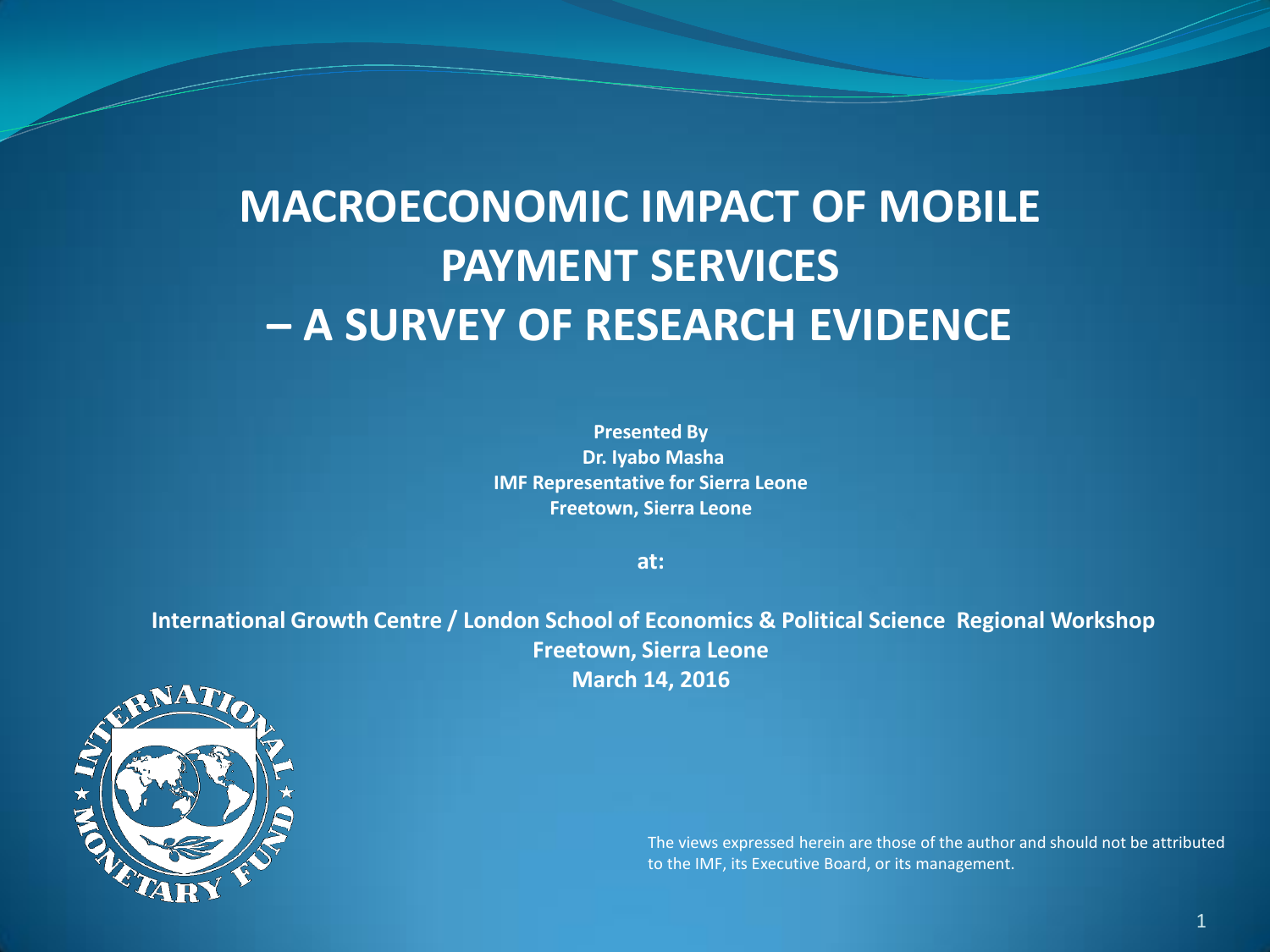#### **MACROECONOMIC IMPACT OF MOBILE PAYMENT SERVICES – A SURVEY OF RESEARCH EVIDENCE**

**Presented By Dr. Iyabo Masha IMF Representative for Sierra Leone Freetown, Sierra Leone**

**at:**

**International Growth Centre / London School of Economics & Political Science Regional Workshop Freetown, Sierra Leone March 14, 2016**



The views expressed herein are those of the author and should not be attributed to the IMF, its Executive Board, or its management.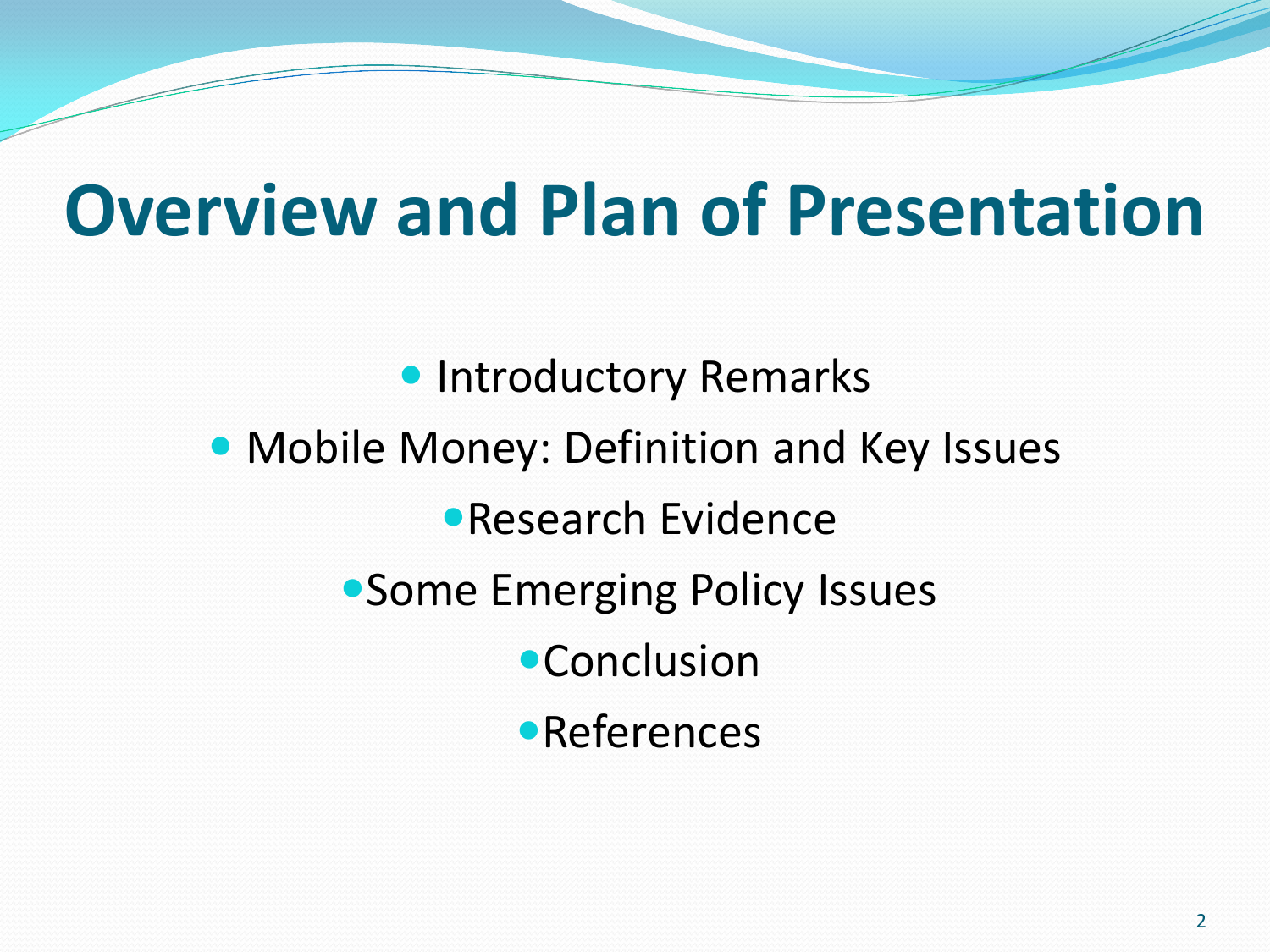### **Overview and Plan of Presentation**

**• Introductory Remarks**  Mobile Money: Definition and Key Issues Research Evidence Some Emerging Policy Issues **•Conclusion •References**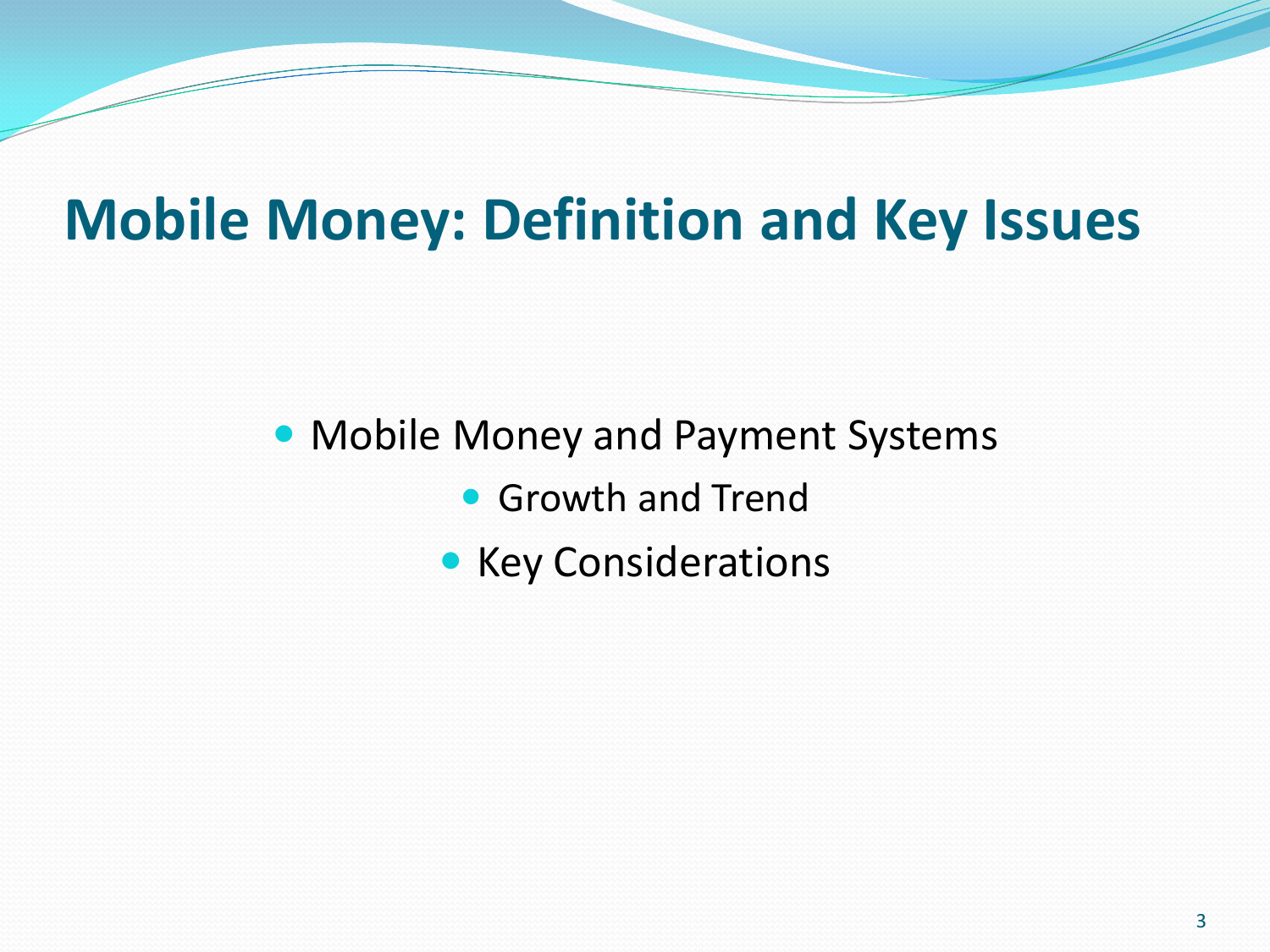#### **Mobile Money: Definition and Key Issues**

Mobile Money and Payment Systems

- **Growth and Trend**
- Key Considerations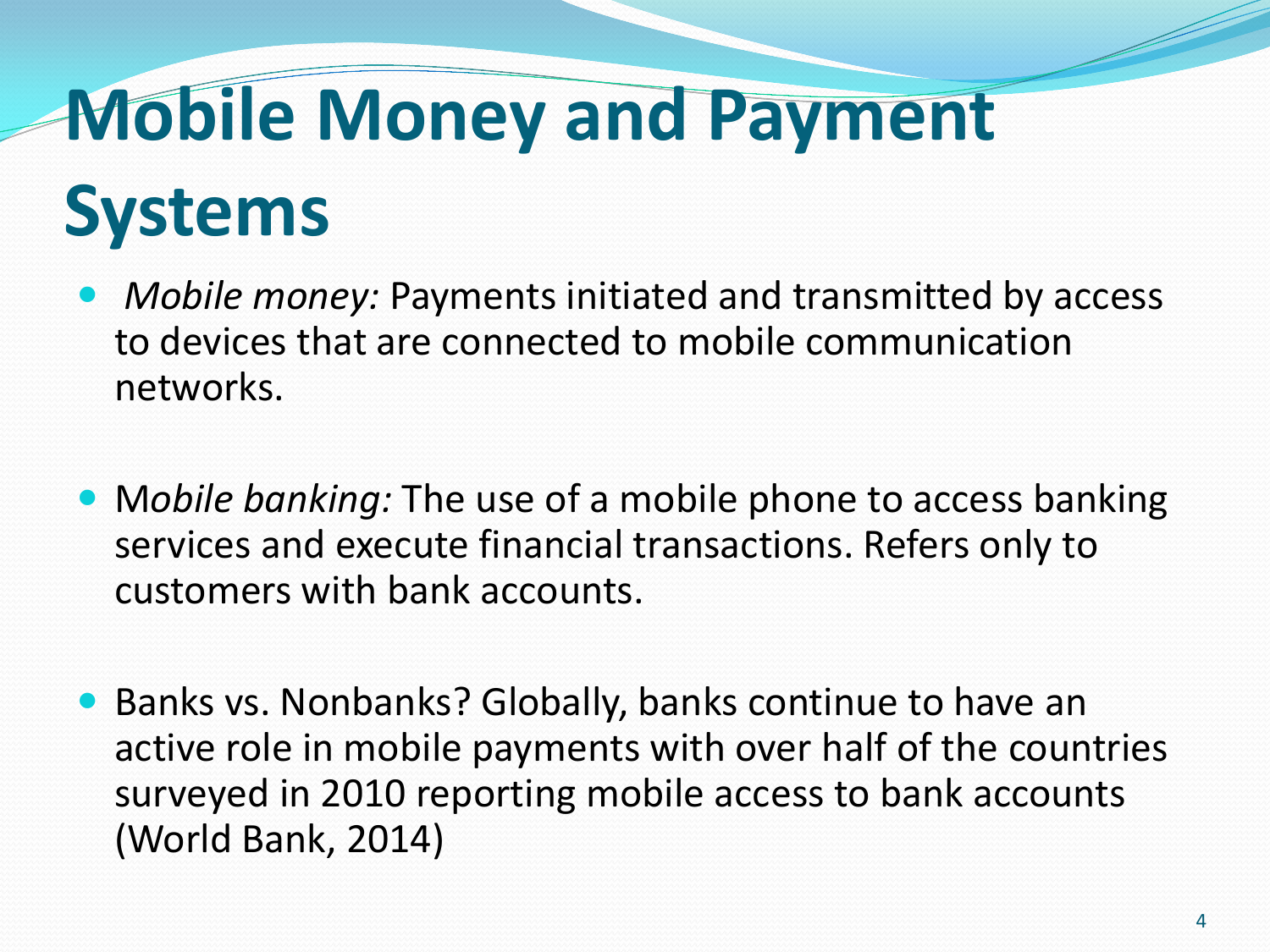# **Mobile Money and Payment**

### **Systems**

- *Mobile money:* Payments initiated and transmitted by access to devices that are connected to mobile communication networks.
- M*obile banking:* The use of a mobile phone to access banking services and execute financial transactions. Refers only to customers with bank accounts.
- Banks vs. Nonbanks? Globally, banks continue to have an active role in mobile payments with over half of the countries surveyed in 2010 reporting mobile access to bank accounts (World Bank, 2014)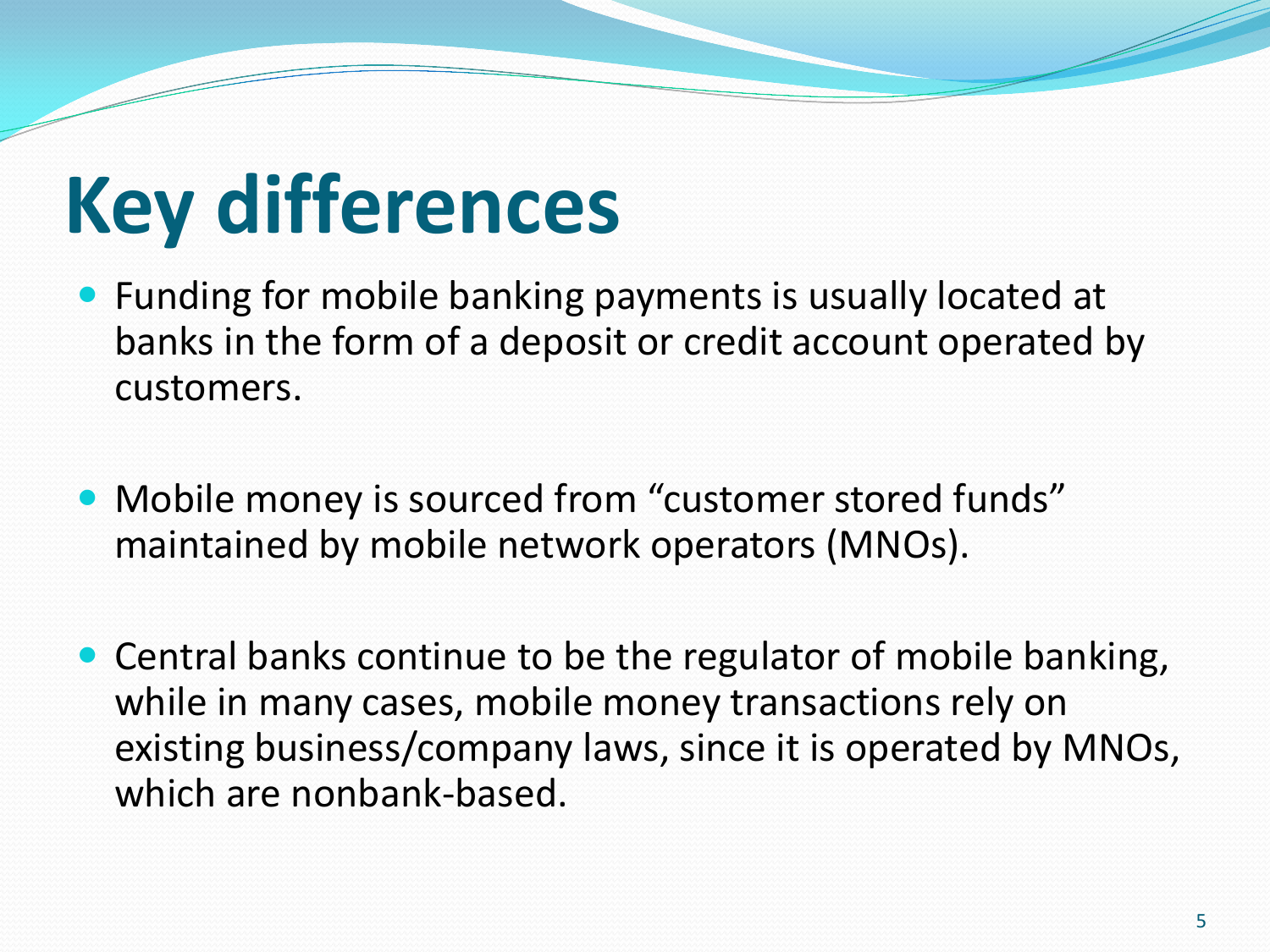# **Key differences**

- Funding for mobile banking payments is usually located at banks in the form of a deposit or credit account operated by customers.
- Mobile money is sourced from "customer stored funds" maintained by mobile network operators (MNOs).
- Central banks continue to be the regulator of mobile banking, while in many cases, mobile money transactions rely on existing business/company laws, since it is operated by MNOs, which are nonbank-based.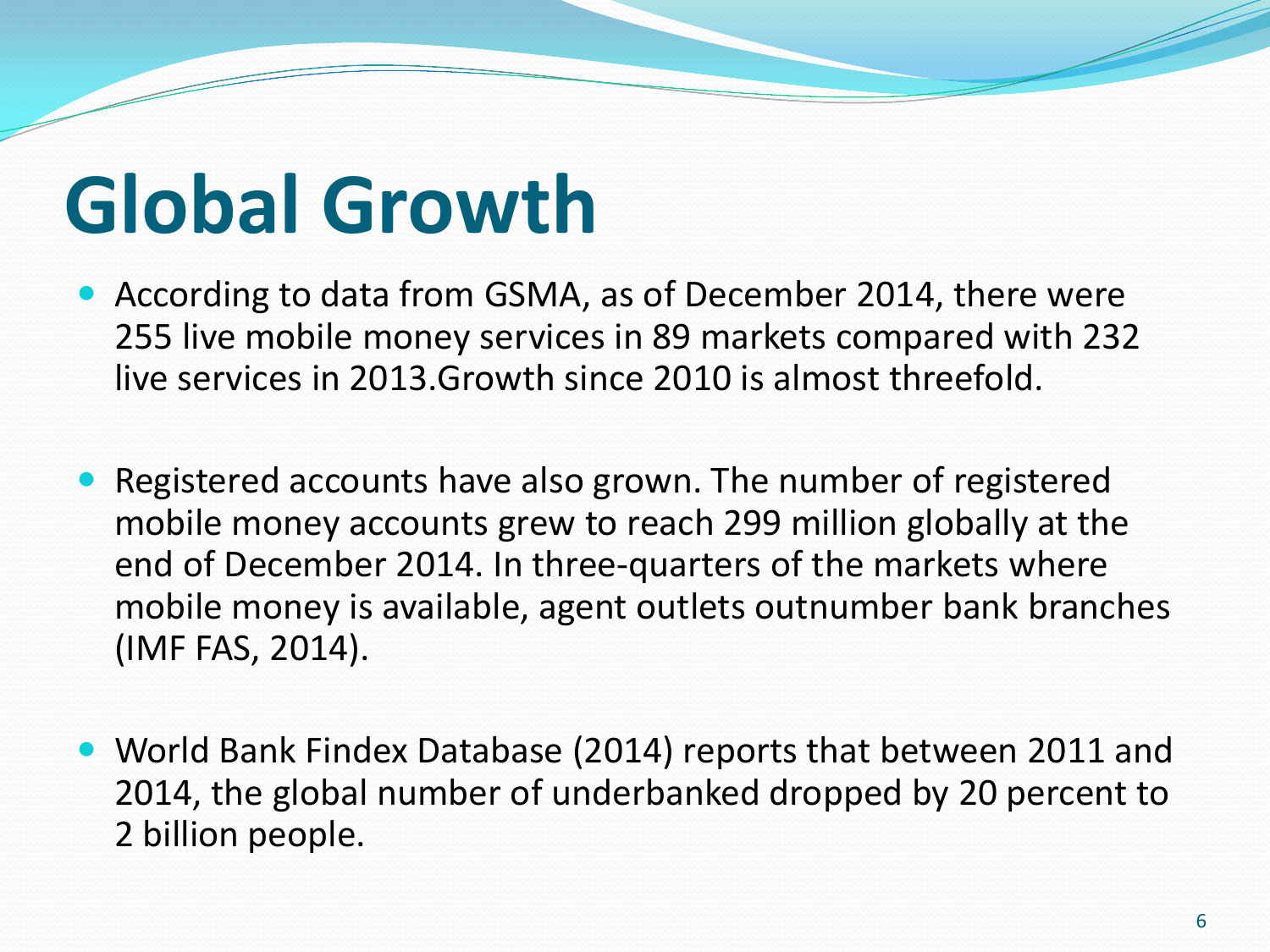# **Global Growth**

- According to data from GSMA, as of December 2014, there were 255 live mobile money services in 89 markets compared with 232 live services in 2013.Growth since 2010 is almost threefold.
- Registered accounts have also grown. The number of registered mobile money accounts grew to reach 299 million globally at the end of December 2014. In three-quarters of the markets where mobile money is available, agent outlets outnumber bank branches (IMF FAS, 2014).
- World Bank Findex Database (2014) reports that between 2011 and 2014, the global number of underbanked dropped by 20 percent to 2 billion people.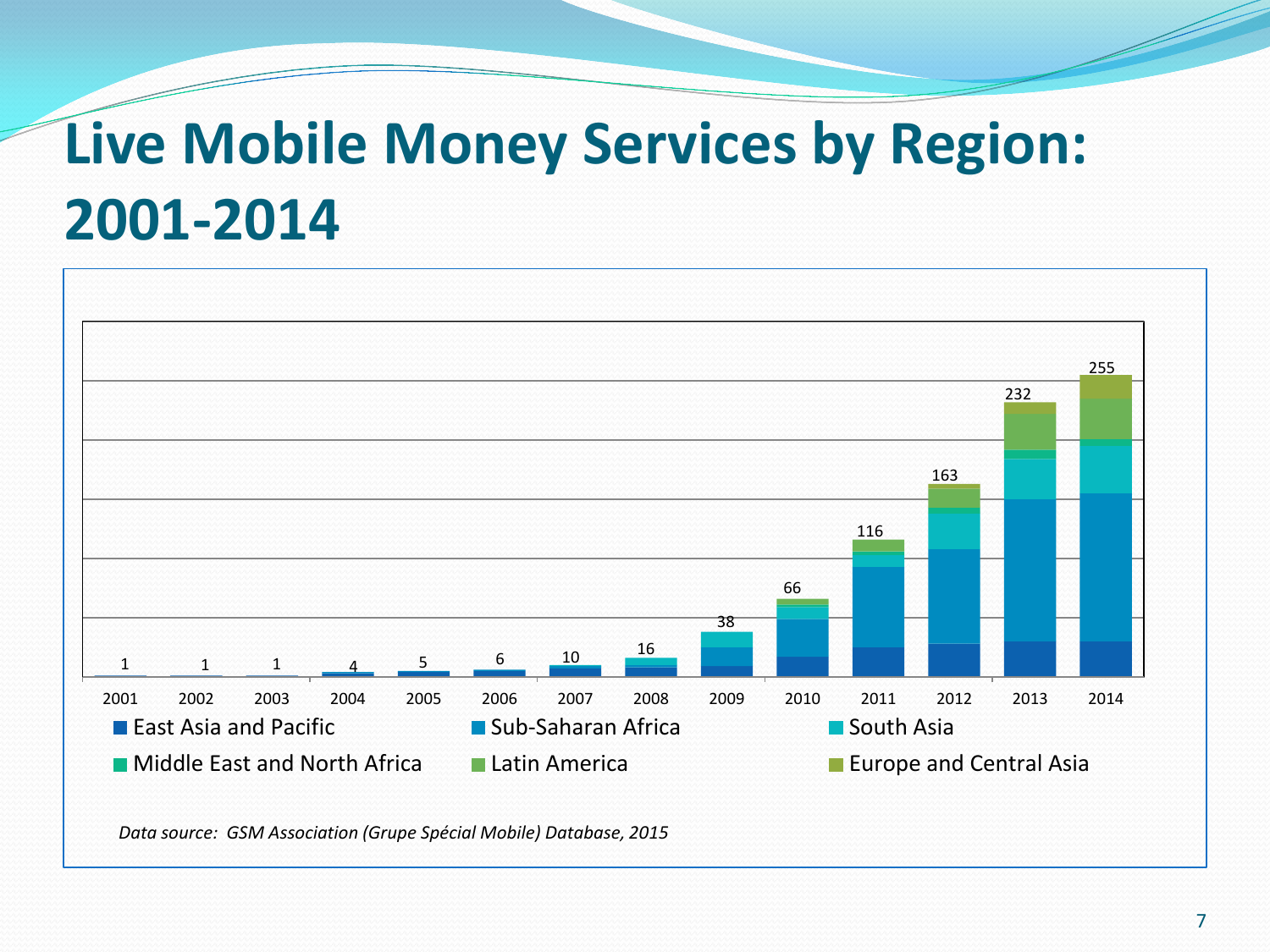### **Live Mobile Money Services by Region: 2001-2014**



*Data source: GSM Association (Grupe Spécial Mobile) Database, 2015*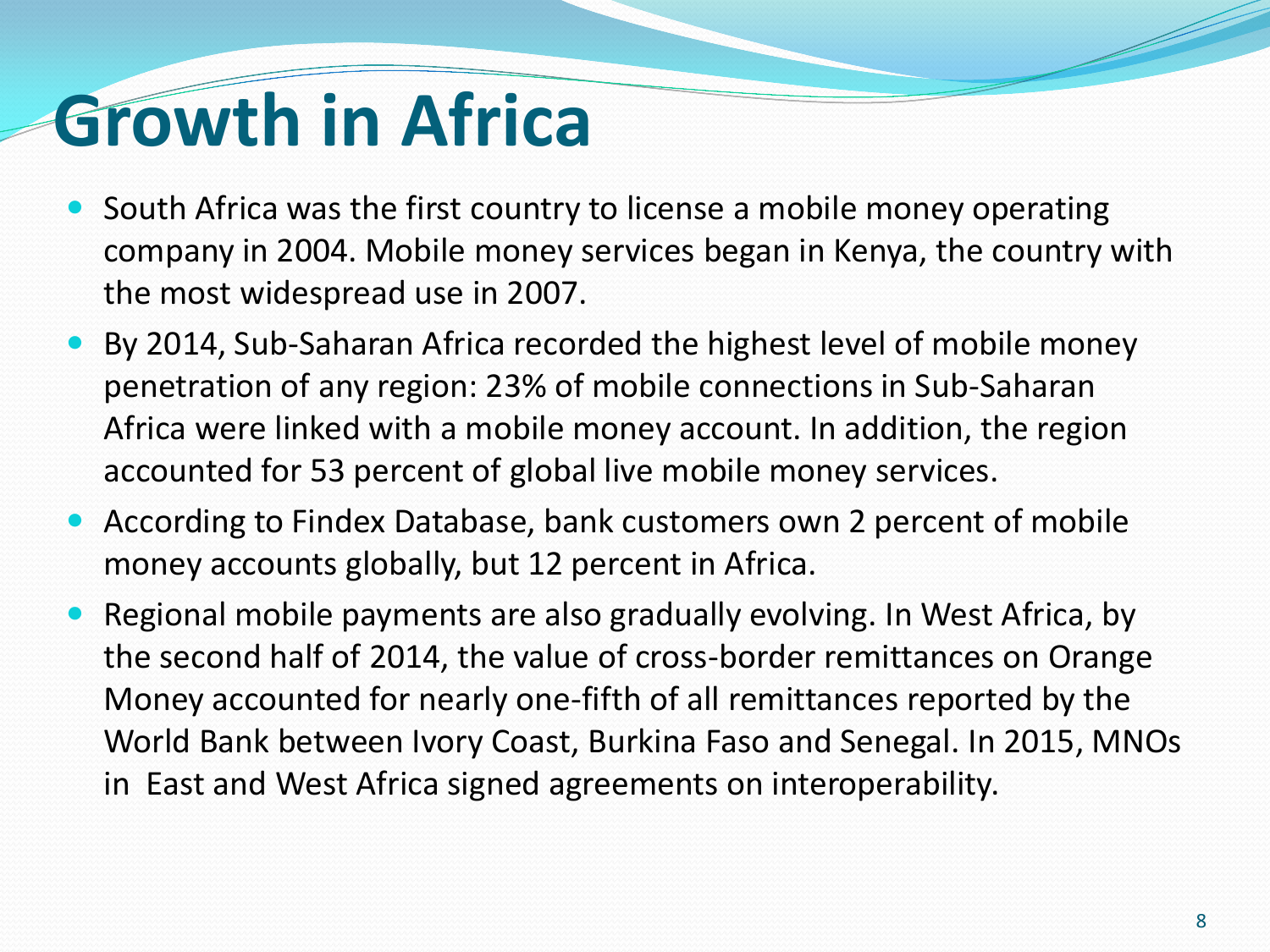### **Growth in Africa**

- South Africa was the first country to license a mobile money operating company in 2004. Mobile money services began in Kenya, the country with the most widespread use in 2007.
- By 2014, Sub-Saharan Africa recorded the highest level of mobile money penetration of any region: 23% of mobile connections in Sub-Saharan Africa were linked with a mobile money account. In addition, the region accounted for 53 percent of global live mobile money services.
- According to Findex Database, bank customers own 2 percent of mobile money accounts globally, but 12 percent in Africa.
- Regional mobile payments are also gradually evolving. In West Africa, by the second half of 2014, the value of cross-border remittances on Orange Money accounted for nearly one-fifth of all remittances reported by the World Bank between Ivory Coast, Burkina Faso and Senegal. In 2015, MNOs in East and West Africa signed agreements on interoperability.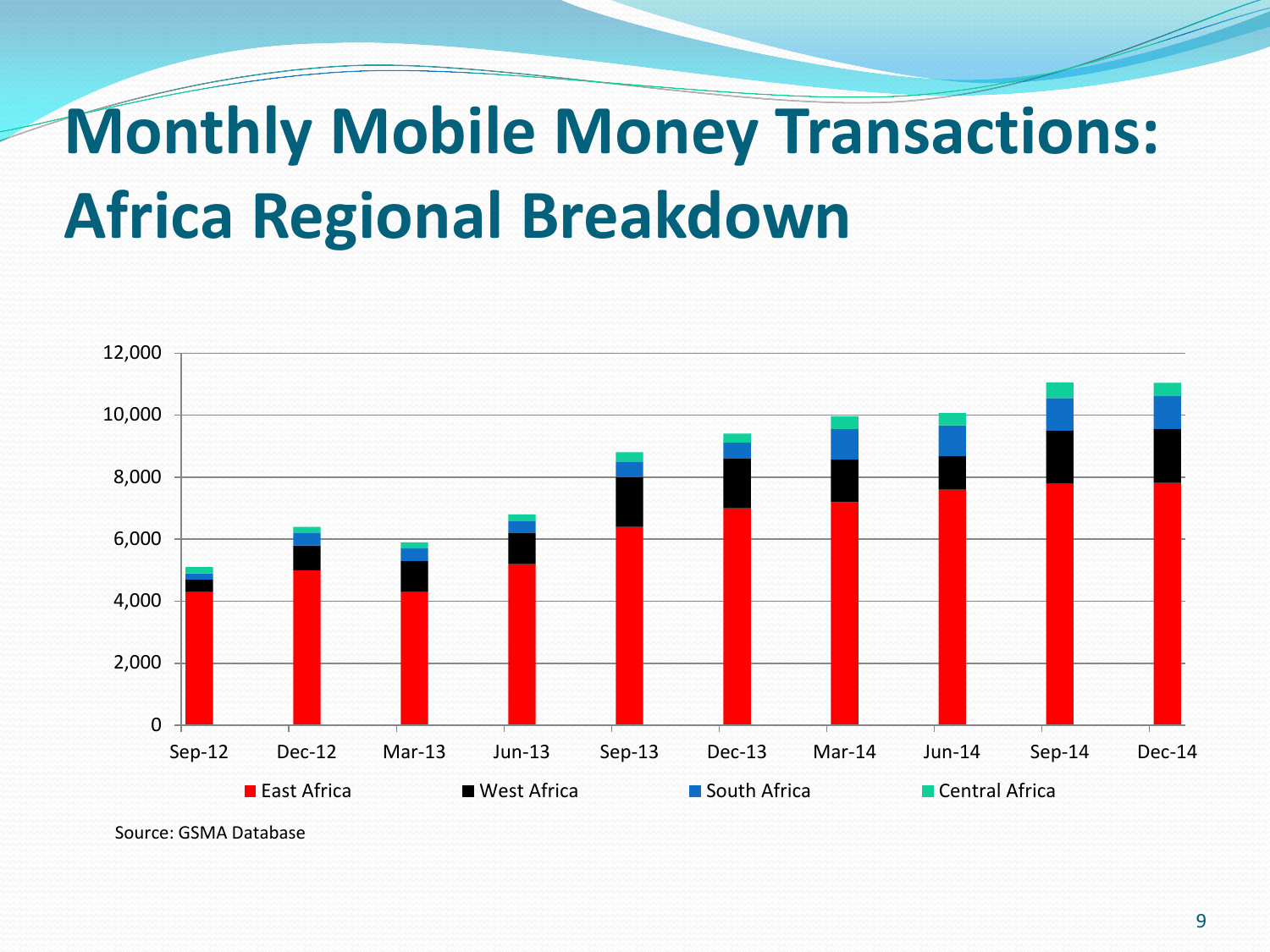### **Monthly Mobile Money Transactions: Africa Regional Breakdown**



Source: GSMA Database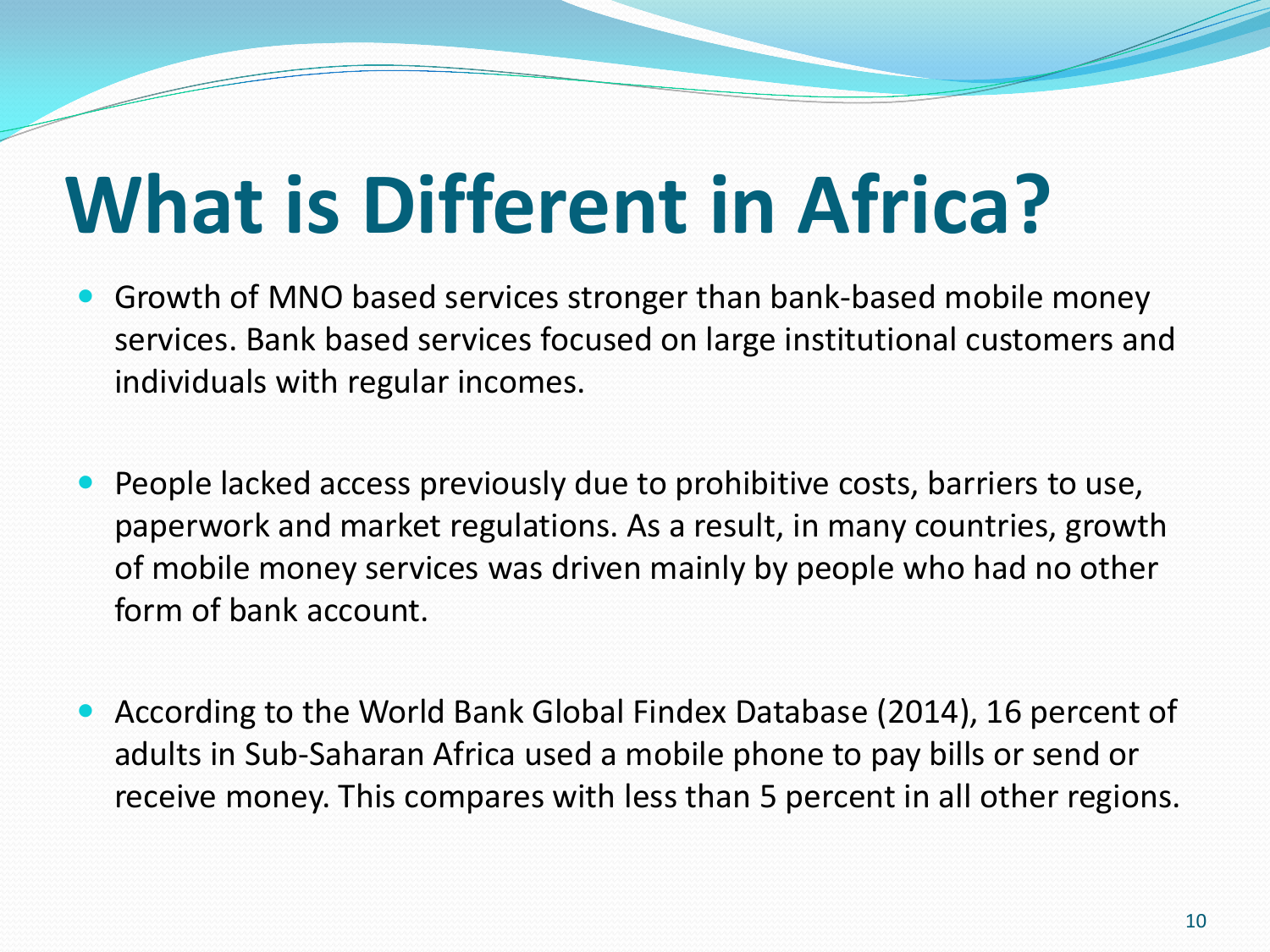# **What is Different in Africa?**

- Growth of MNO based services stronger than bank-based mobile money services. Bank based services focused on large institutional customers and individuals with regular incomes.
- People lacked access previously due to prohibitive costs, barriers to use, paperwork and market regulations. As a result, in many countries, growth of mobile money services was driven mainly by people who had no other form of bank account.
- According to the World Bank Global Findex Database (2014), 16 percent of adults in Sub-Saharan Africa used a mobile phone to pay bills or send or receive money. This compares with less than 5 percent in all other regions.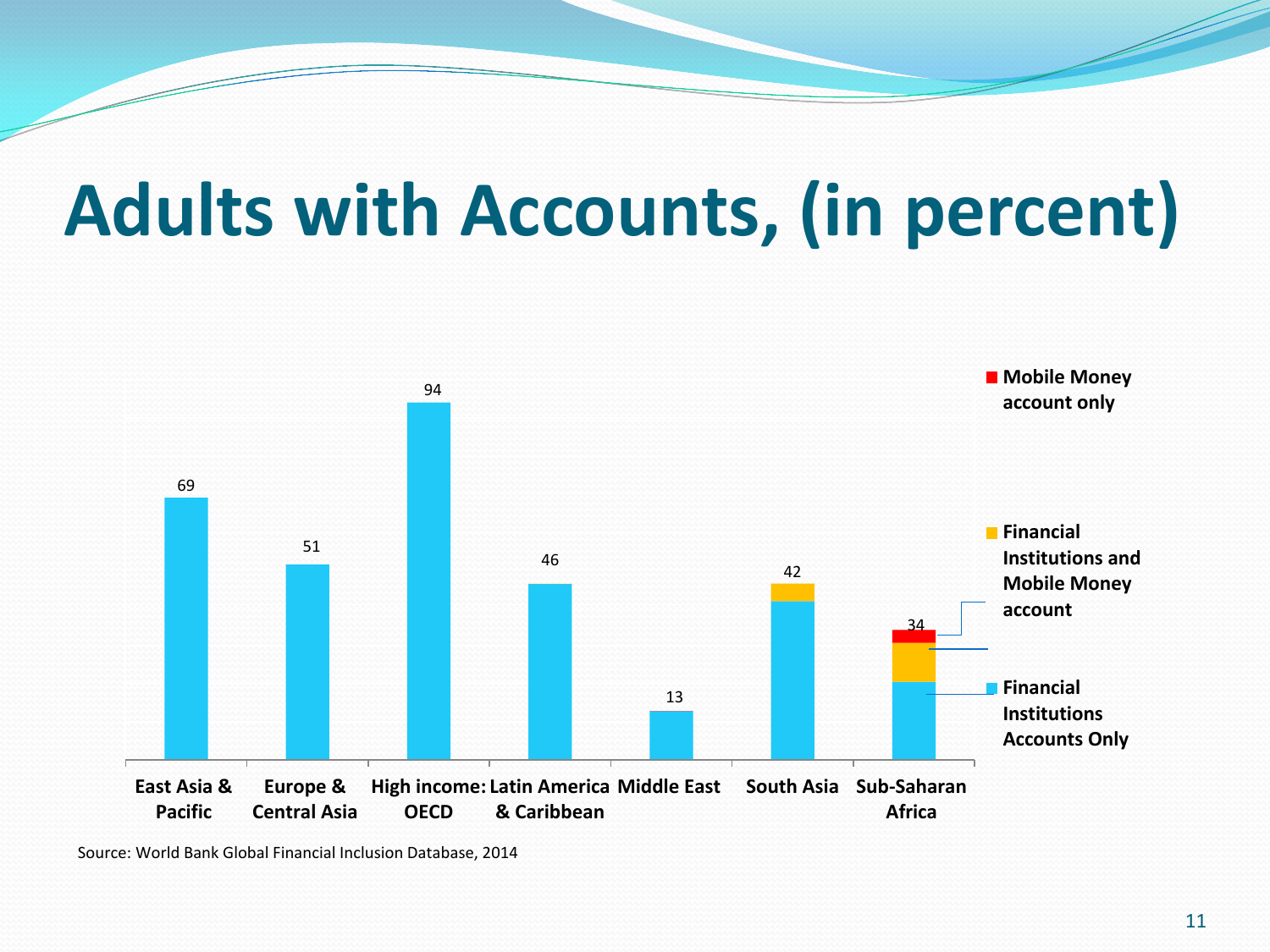### **Adults with Accounts, (in percent)**



Source: World Bank Global Financial Inclusion Database, 2014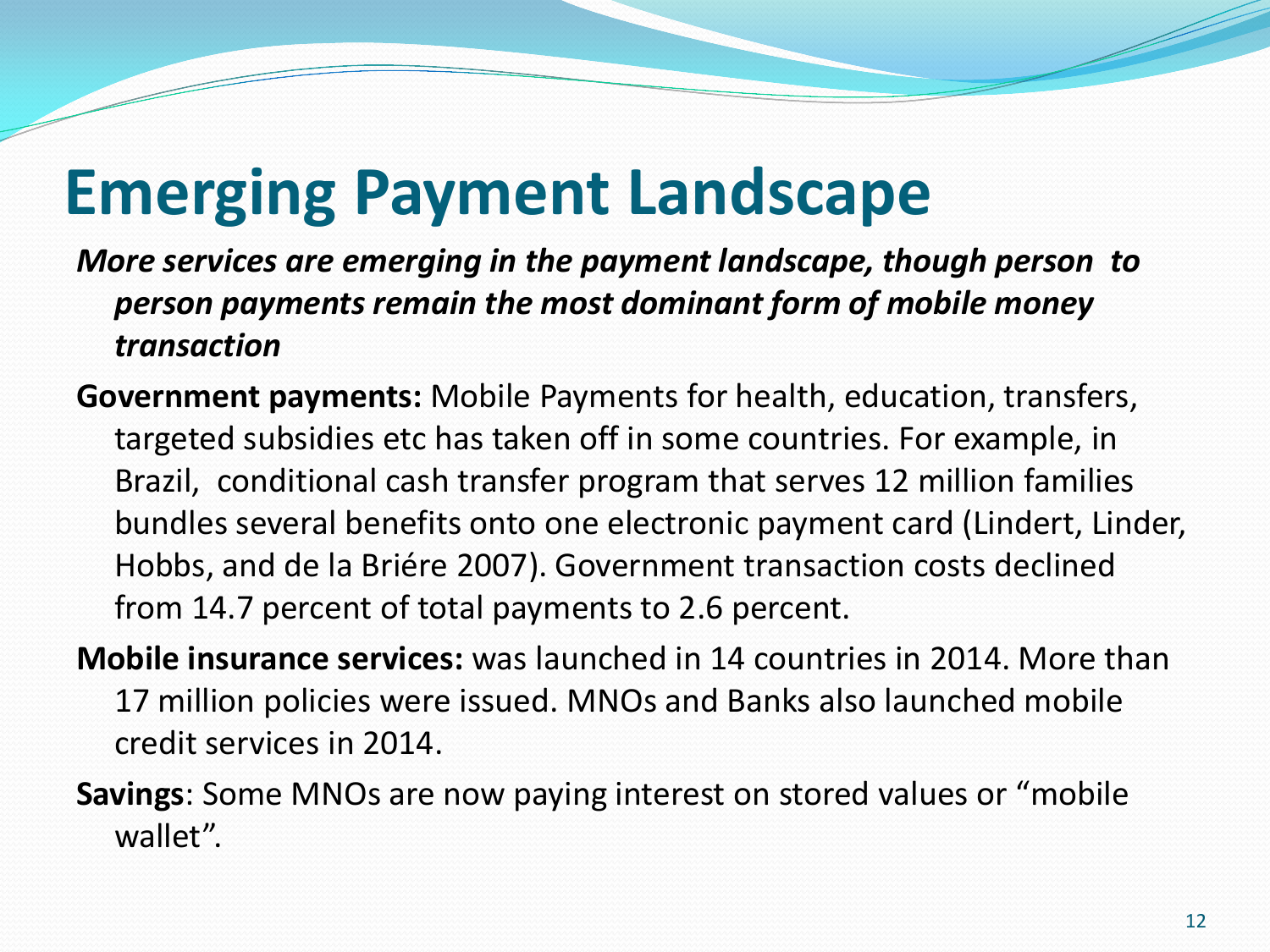### **Emerging Payment Landscape**

*More services are emerging in the payment landscape, though person to person payments remain the most dominant form of mobile money transaction*

- **Government payments:** Mobile Payments for health, education, transfers, targeted subsidies etc has taken off in some countries. For example, in Brazil, conditional cash transfer program that serves 12 million families bundles several benefits onto one electronic payment card (Lindert, Linder, Hobbs, and de la Briére 2007). Government transaction costs declined from 14.7 percent of total payments to 2.6 percent.
- **Mobile insurance services:** was launched in 14 countries in 2014. More than 17 million policies were issued. MNOs and Banks also launched mobile credit services in 2014.
- **Savings**: Some MNOs are now paying interest on stored values or "mobile wallet".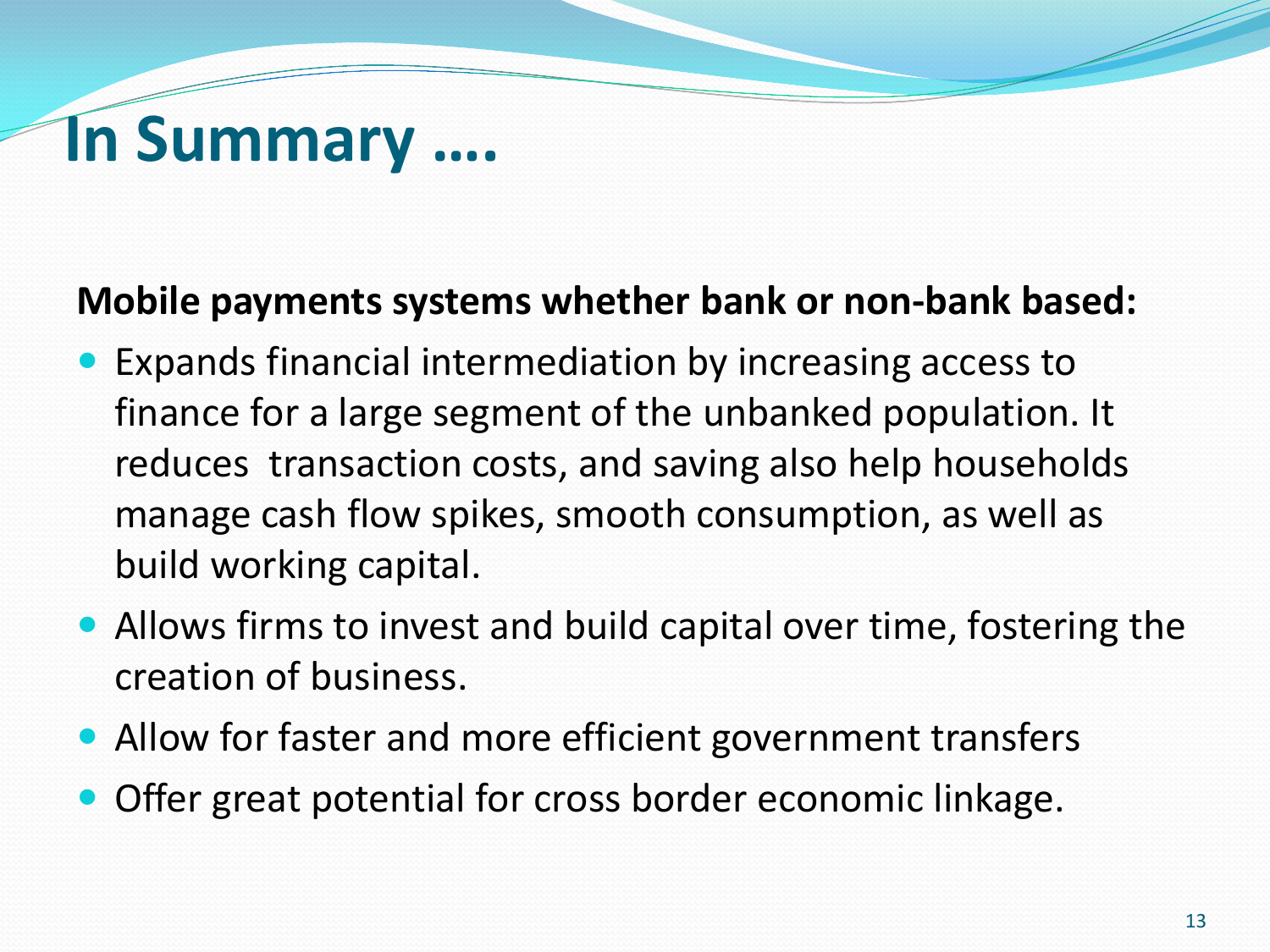#### **In Summary ….**

#### **Mobile payments systems whether bank or non-bank based:**

- Expands financial intermediation by increasing access to finance for a large segment of the unbanked population. It reduces transaction costs, and saving also help households manage cash flow spikes, smooth consumption, as well as build working capital.
- Allows firms to invest and build capital over time, fostering the creation of business.
- Allow for faster and more efficient government transfers
- Offer great potential for cross border economic linkage.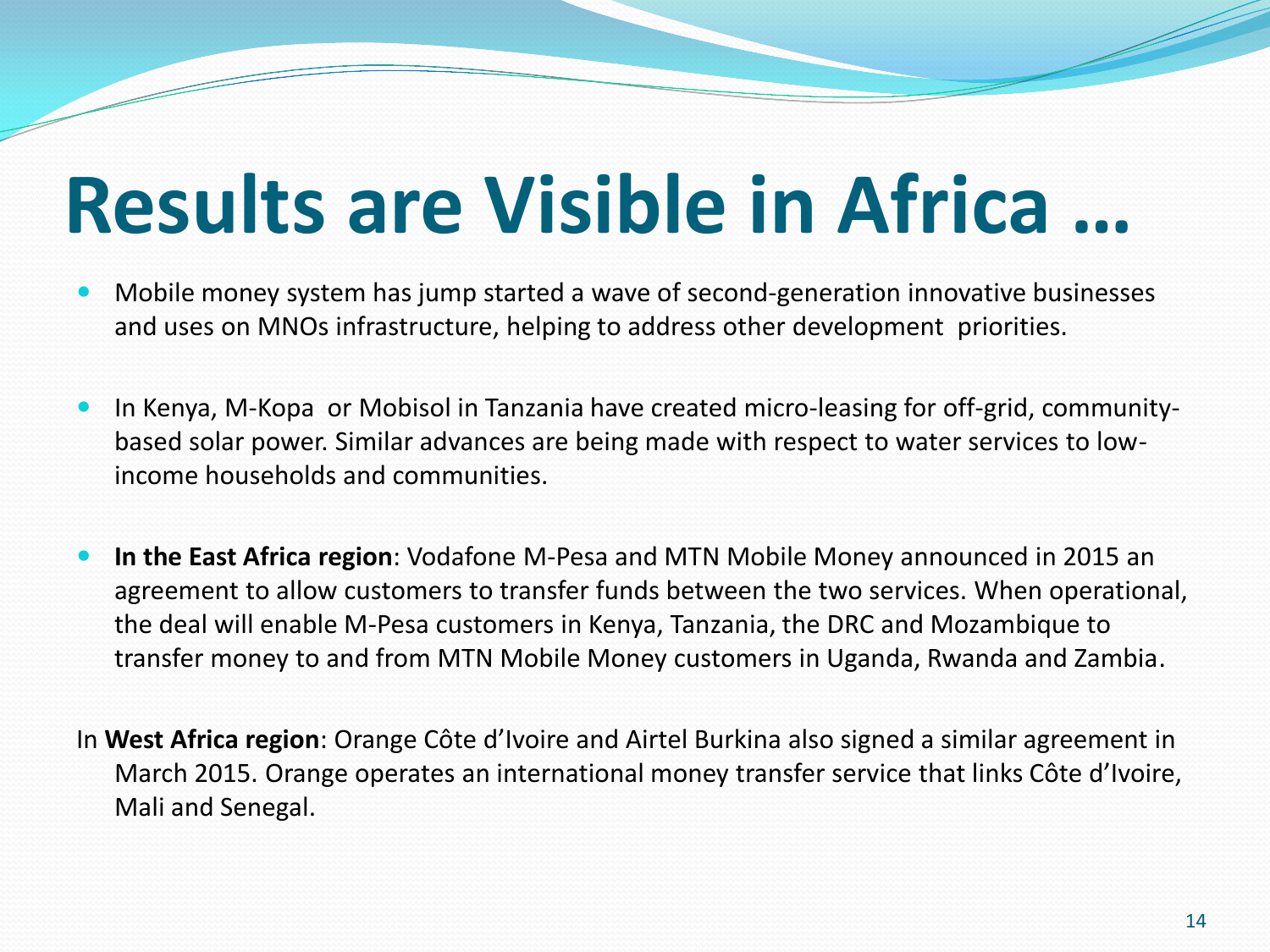### **Results are Visible in Africa …**

- Mobile money system has jump started a wave of second-generation innovative businesses and uses on MNOs infrastructure, helping to address other development priorities.
- In Kenya, M-Kopa or Mobisol in Tanzania have created micro-leasing for off-grid, communitybased solar power. Similar advances are being made with respect to water services to lowincome households and communities.
- **In the East Africa region**: Vodafone M-Pesa and MTN Mobile Money announced in 2015 an agreement to allow customers to transfer funds between the two services. When operational, the deal will enable M-Pesa customers in Kenya, Tanzania, the DRC and Mozambique to transfer money to and from MTN Mobile Money customers in Uganda, Rwanda and Zambia.
- In **West Africa region**: Orange Côte d'Ivoire and Airtel Burkina also signed a similar agreement in March 2015. Orange operates an international money transfer service that links Côte d'Ivoire, Mali and Senegal.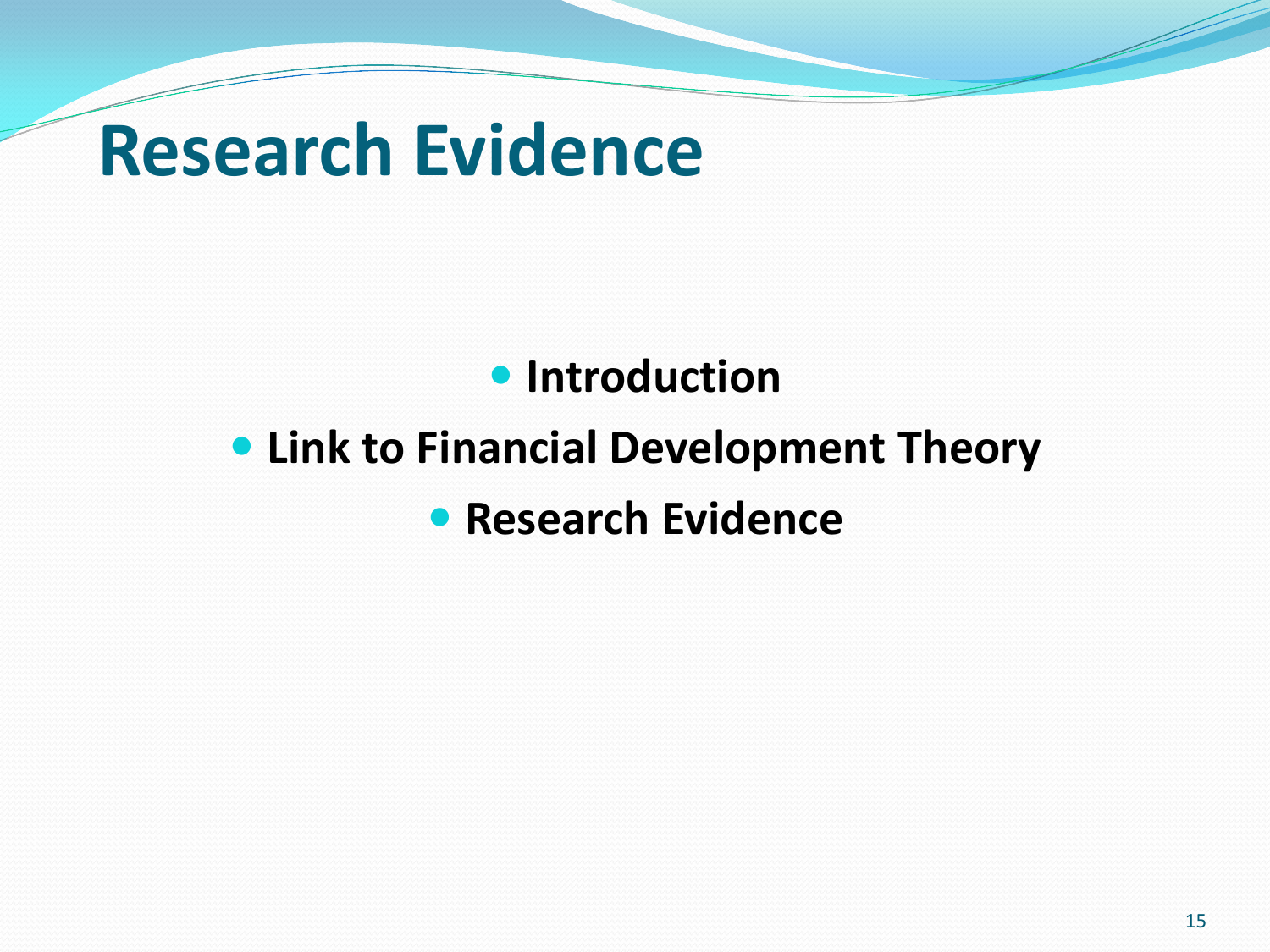### **Research Evidence**

#### **• Introduction**

#### **Link to Financial Development Theory • Research Evidence**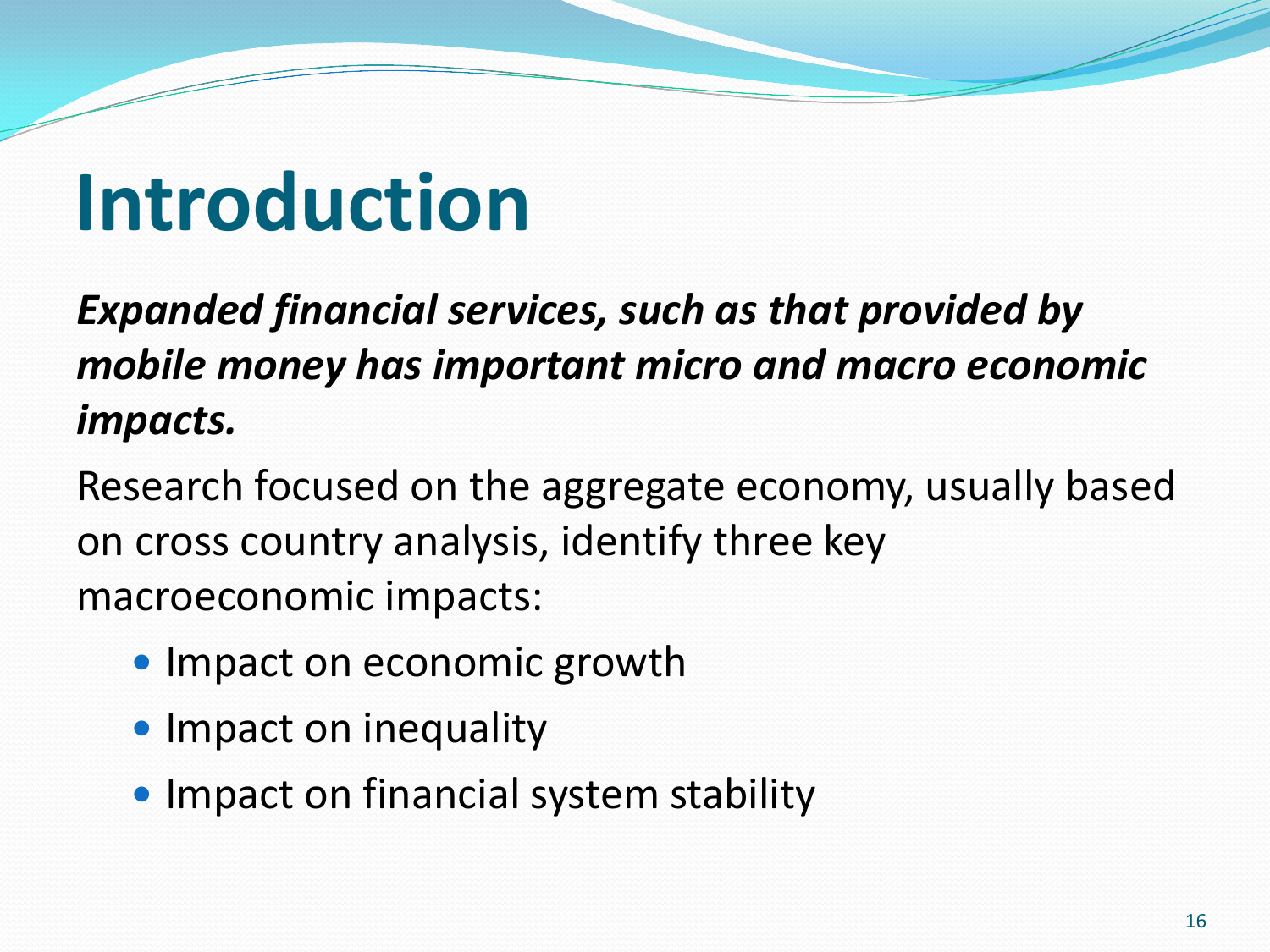## **Introduction**

*Expanded financial services, such as that provided by mobile money has important micro and macro economic impacts.* 

Research focused on the aggregate economy, usually based on cross country analysis, identify three key macroeconomic impacts:

- Impact on economic growth
- Impact on inequality
- Impact on financial system stability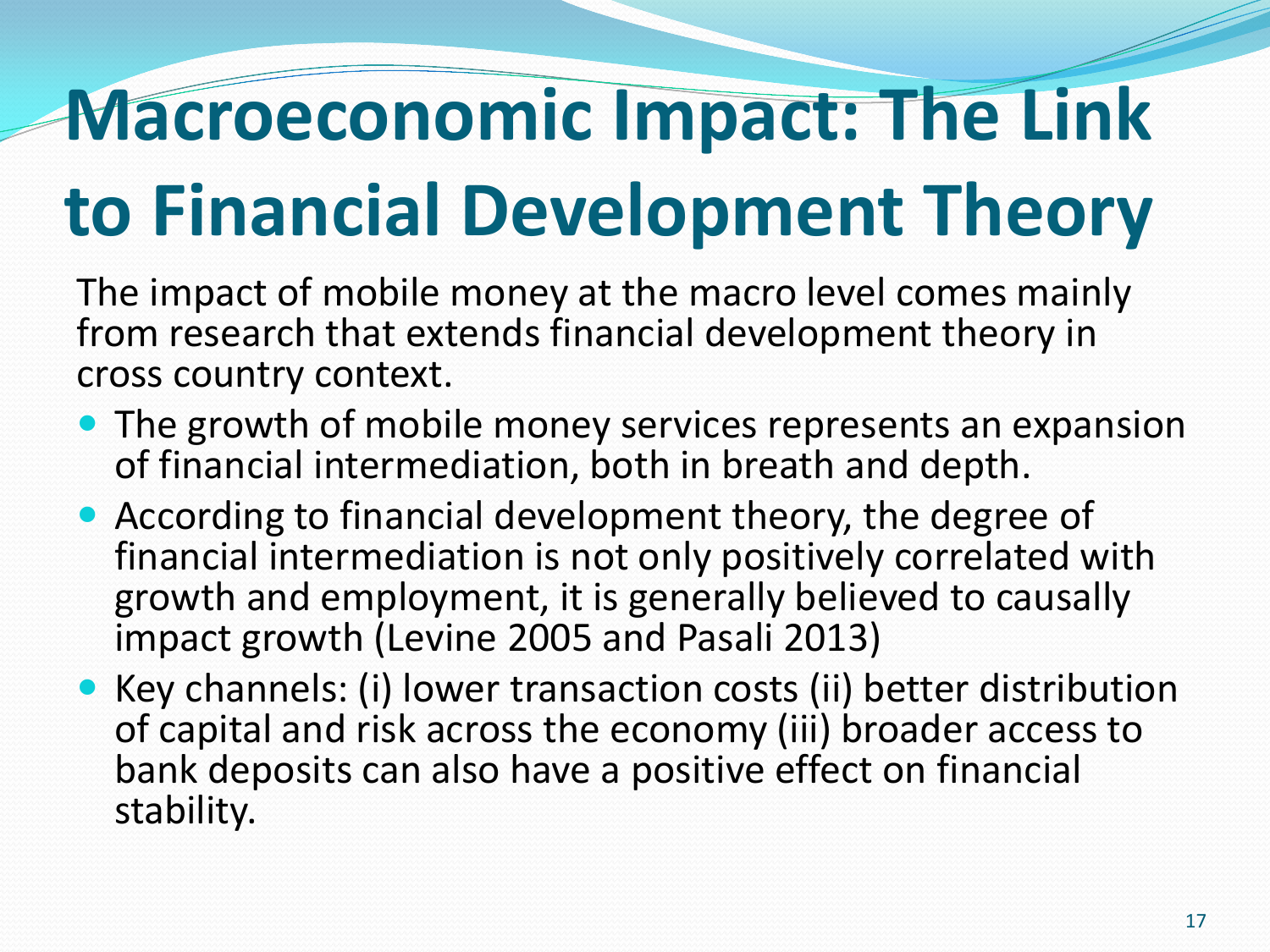# **Macroeconomic Impact: The Link to Financial Development Theory**

The impact of mobile money at the macro level comes mainly from research that extends financial development theory in cross country context.

- The growth of mobile money services represents an expansion of financial intermediation, both in breath and depth.
- According to financial development theory, the degree of financial intermediation is not only positively correlated with growth and employment, it is generally believed to causally impact growth (Levine 2005 and Pasali 2013)
- Key channels: (i) lower transaction costs (ii) better distribution of capital and risk across the economy (iii) broader access to bank deposits can also have a positive effect on financial stability.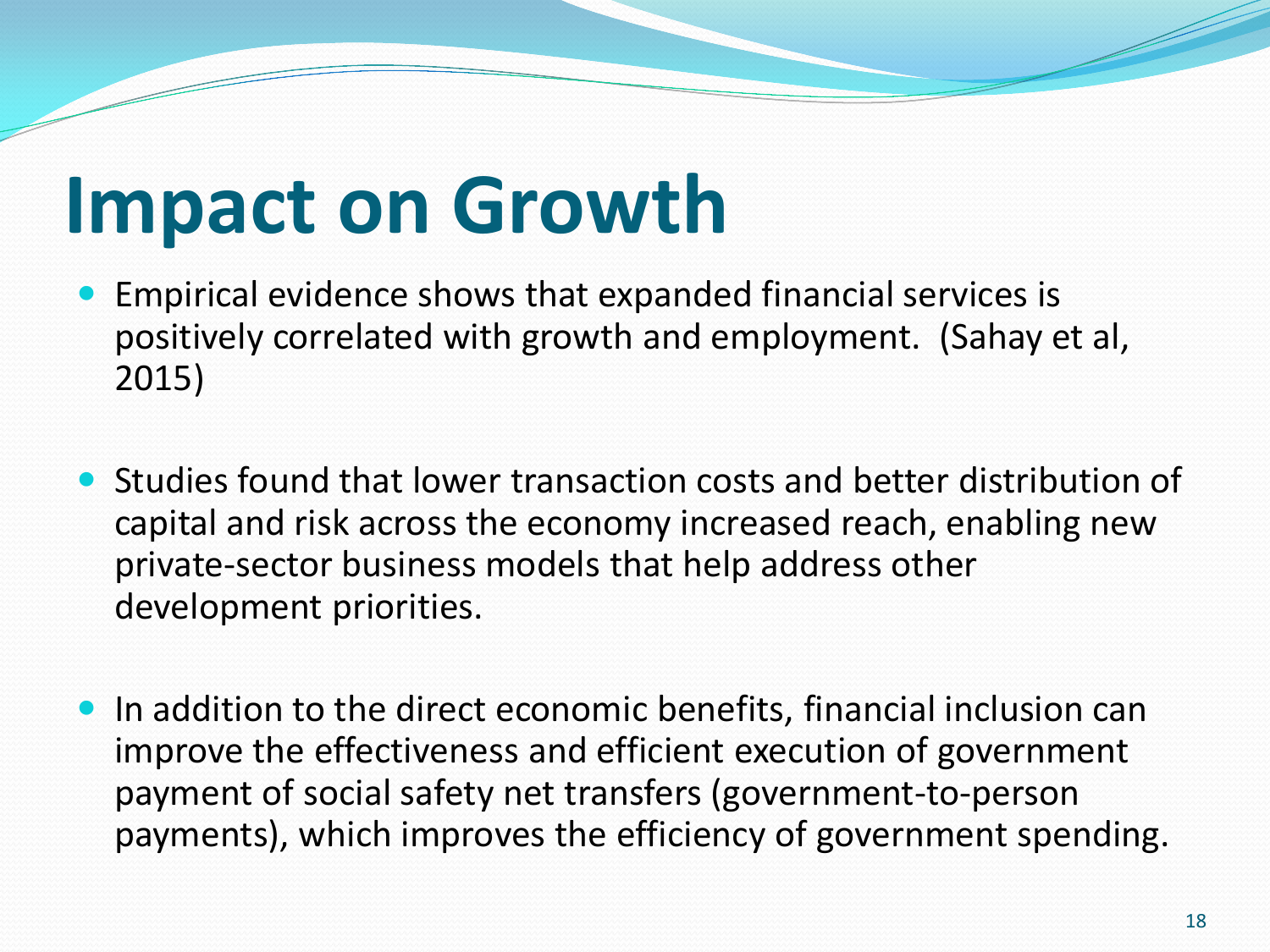### **Impact on Growth**

- Empirical evidence shows that expanded financial services is positively correlated with growth and employment. (Sahay et al, 2015)
- Studies found that lower transaction costs and better distribution of capital and risk across the economy increased reach, enabling new private-sector business models that help address other development priorities.
- In addition to the direct economic benefits, financial inclusion can improve the effectiveness and efficient execution of government payment of social safety net transfers (government-to-person payments), which improves the efficiency of government spending.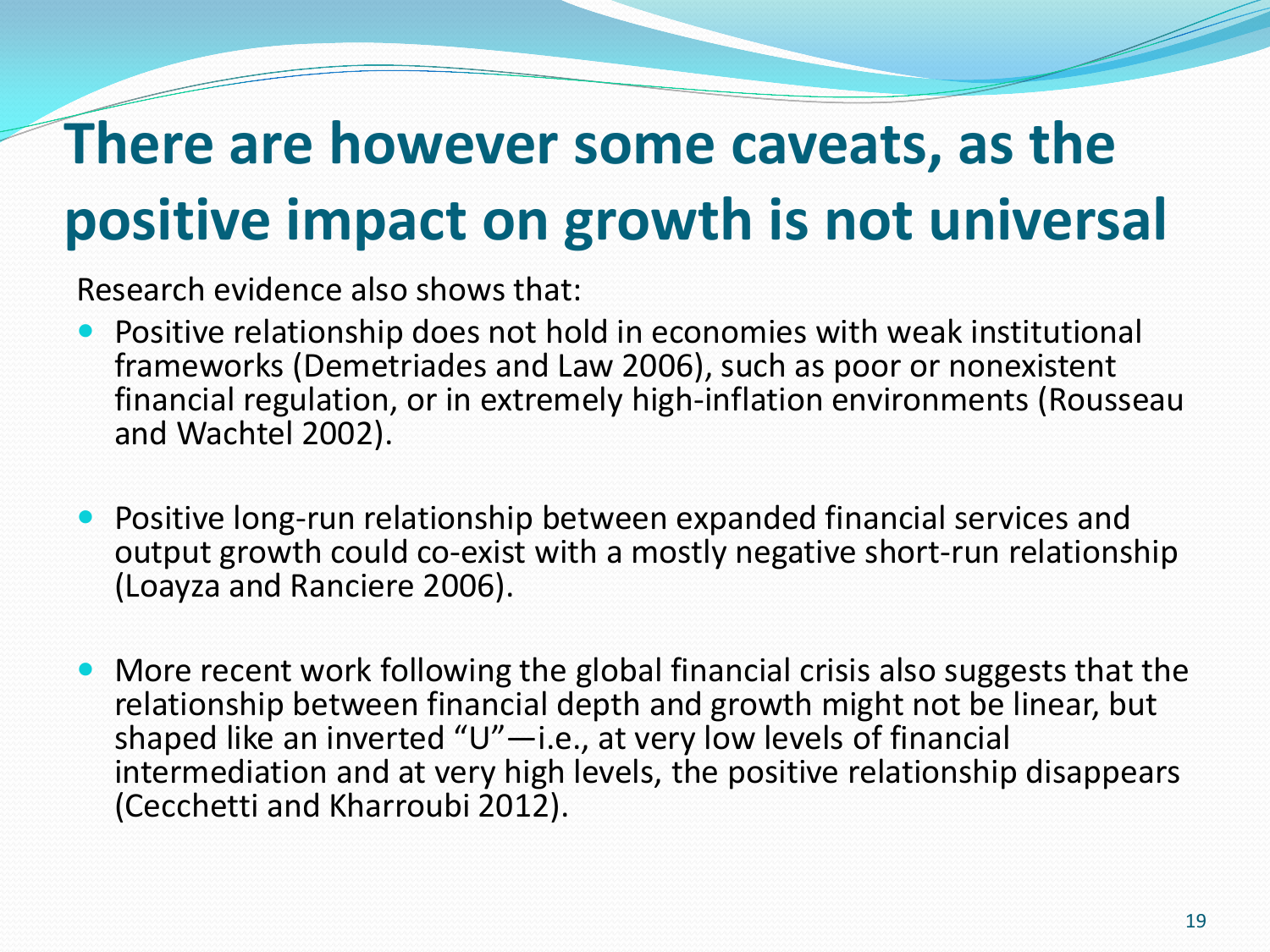### **There are however some caveats, as the positive impact on growth is not universal**

Research evidence also shows that:

- Positive relationship does not hold in economies with weak institutional frameworks (Demetriades and Law 2006), such as poor or nonexistent financial regulation, or in extremely high-inflation environments (Rousseau and Wachtel 2002).
- Positive long-run relationship between expanded financial services and output growth could co-exist with a mostly negative short-run relationship (Loayza and Ranciere 2006).
- More recent work following the global financial crisis also suggests that the relationship between financial depth and growth might not be linear, but shaped like an inverted "U"—i.e., at very low levels of financial intermediation and at very high levels, the positive relationship disappears (Cecchetti and Kharroubi 2012).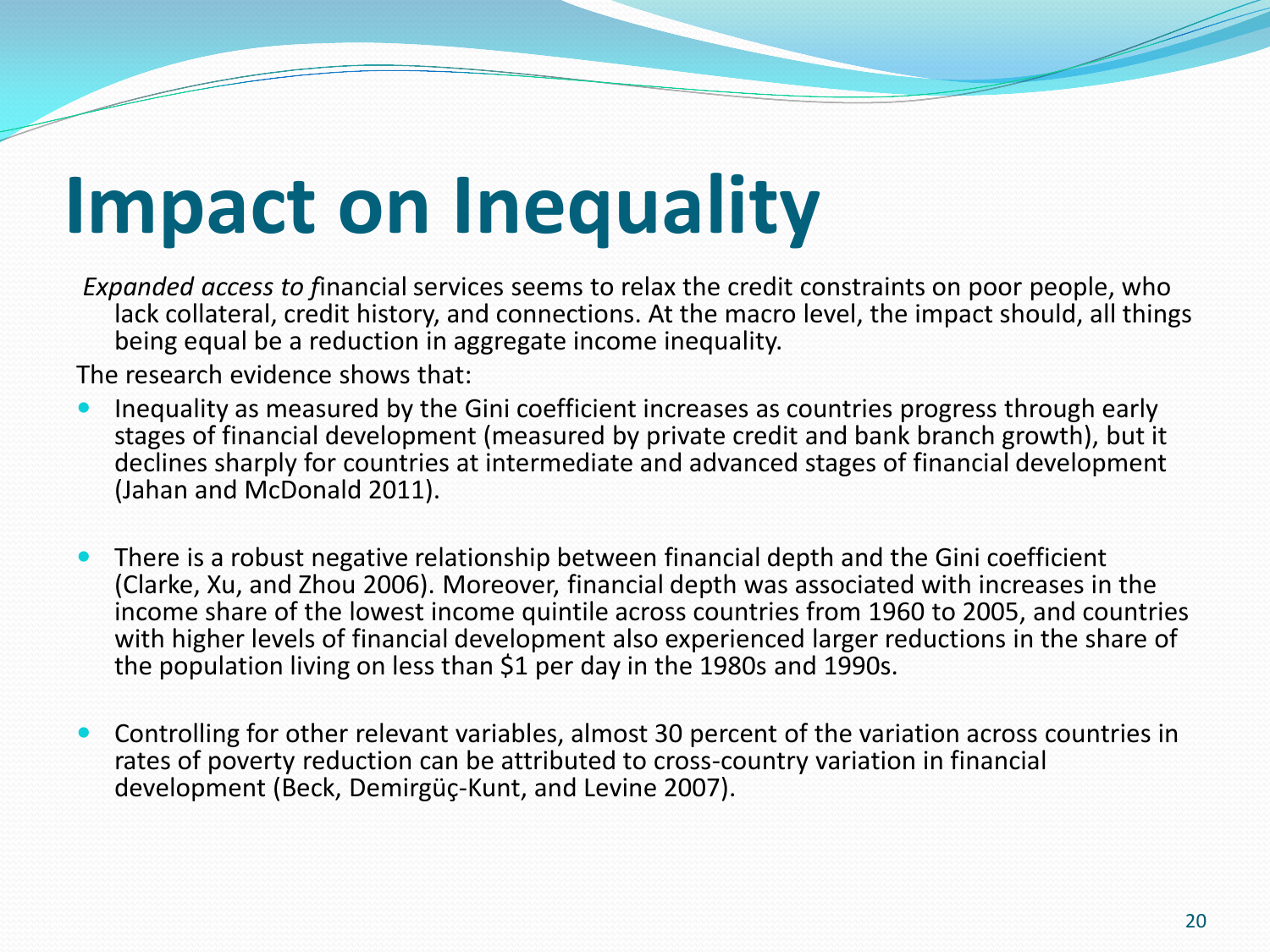# **Impact on Inequality**

*Expanded access to f*inancial services seems to relax the credit constraints on poor people, who lack collateral, credit history, and connections. At the macro level, the impact should, all things being equal be a reduction in aggregate income inequality.

The research evidence shows that:

- Inequality as measured by the Gini coefficient increases as countries progress through early stages of financial development (measured by private credit and bank branch growth), but it declines sharply for countries at intermediate and advanced stages of financial development (Jahan and McDonald 2011).
- There is a robust negative relationship between financial depth and the Gini coefficient (Clarke, Xu, and Zhou 2006). Moreover, financial depth was associated with increases in the income share of the lowest income quintile across countries from 1960 to 2005, and countries with higher levels of financial development also experienced larger reductions in the share of the population living on less than \$1 per day in the 1980s and 1990s.
- Controlling for other relevant variables, almost 30 percent of the variation across countries in rates of poverty reduction can be attributed to cross-country variation in financial development (Beck, Demirgüç-Kunt, and Levine 2007).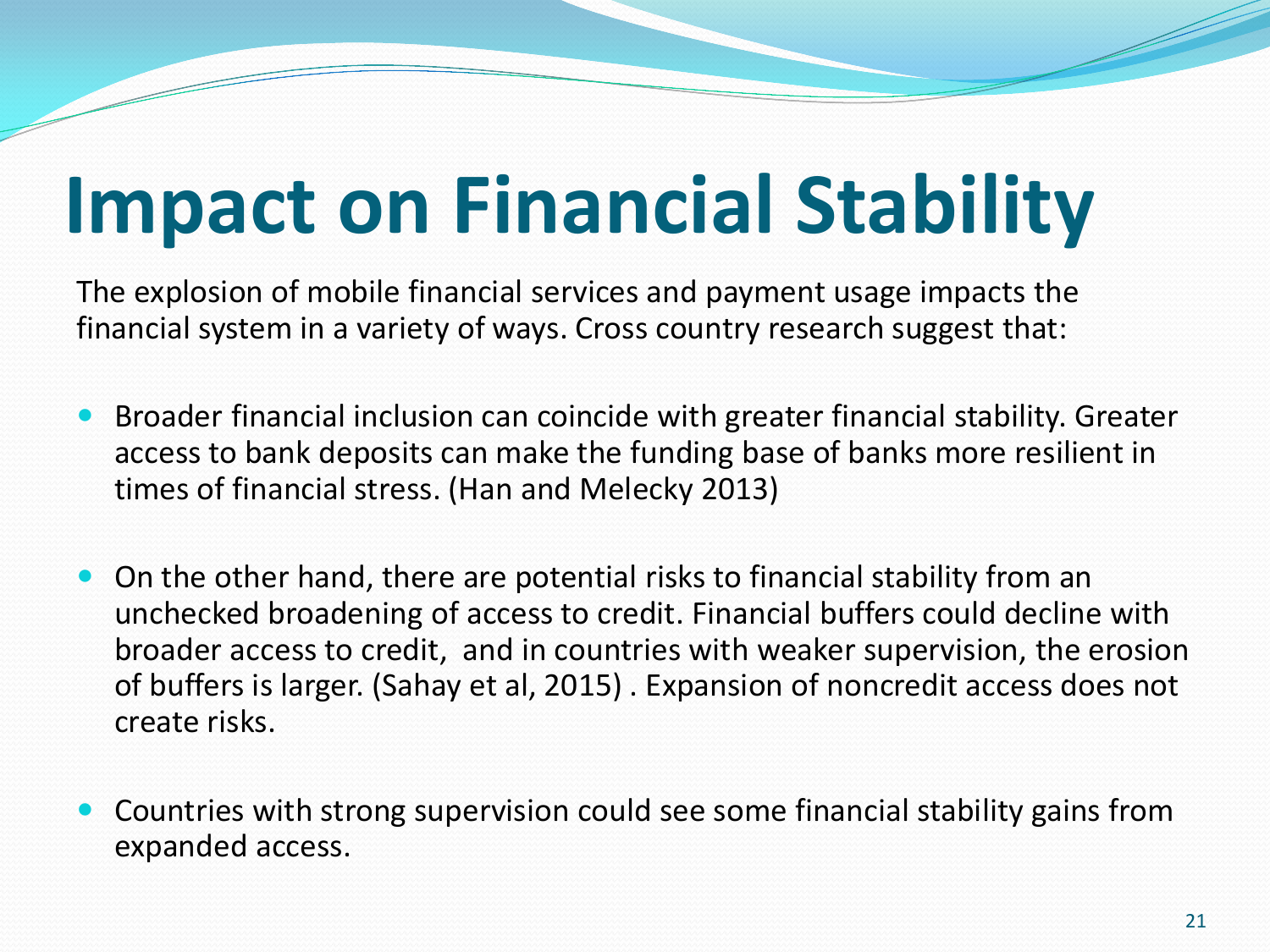# **Impact on Financial Stability**

The explosion of mobile financial services and payment usage impacts the financial system in a variety of ways. Cross country research suggest that:

- Broader financial inclusion can coincide with greater financial stability. Greater access to bank deposits can make the funding base of banks more resilient in times of financial stress. (Han and Melecky 2013)
- On the other hand, there are potential risks to financial stability from an unchecked broadening of access to credit. Financial buffers could decline with broader access to credit, and in countries with weaker supervision, the erosion of buffers is larger. (Sahay et al, 2015) . Expansion of noncredit access does not create risks.
- Countries with strong supervision could see some financial stability gains from expanded access.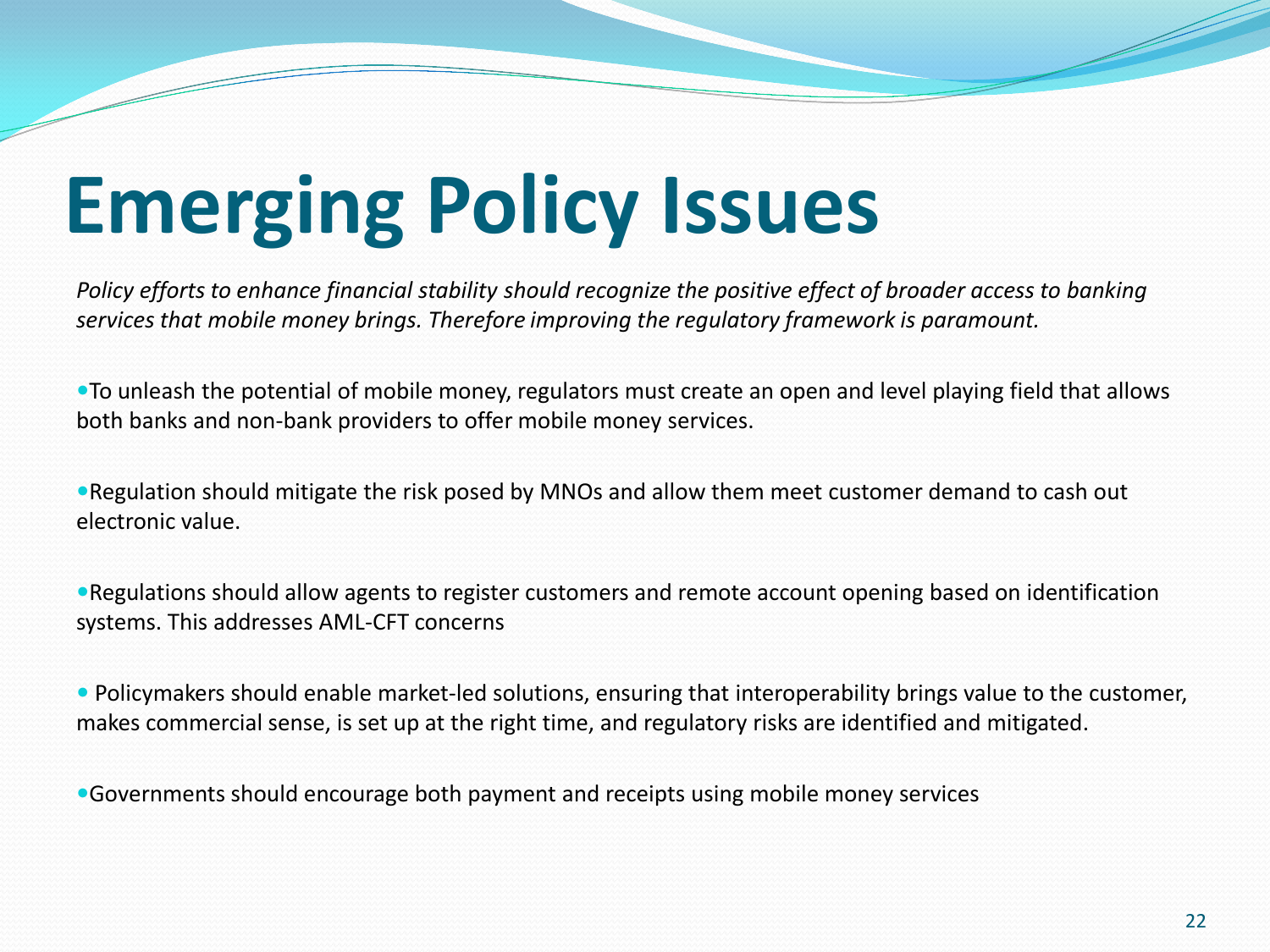# **Emerging Policy Issues**

*Policy efforts to enhance financial stability should recognize the positive effect of broader access to banking services that mobile money brings. Therefore improving the regulatory framework is paramount.* 

To unleash the potential of mobile money, regulators must create an open and level playing field that allows both banks and non-bank providers to offer mobile money services.

Regulation should mitigate the risk posed by MNOs and allow them meet customer demand to cash out electronic value.

Regulations should allow agents to register customers and remote account opening based on identification systems. This addresses AML-CFT concerns

 Policymakers should enable market-led solutions, ensuring that interoperability brings value to the customer, makes commercial sense, is set up at the right time, and regulatory risks are identified and mitigated.

Governments should encourage both payment and receipts using mobile money services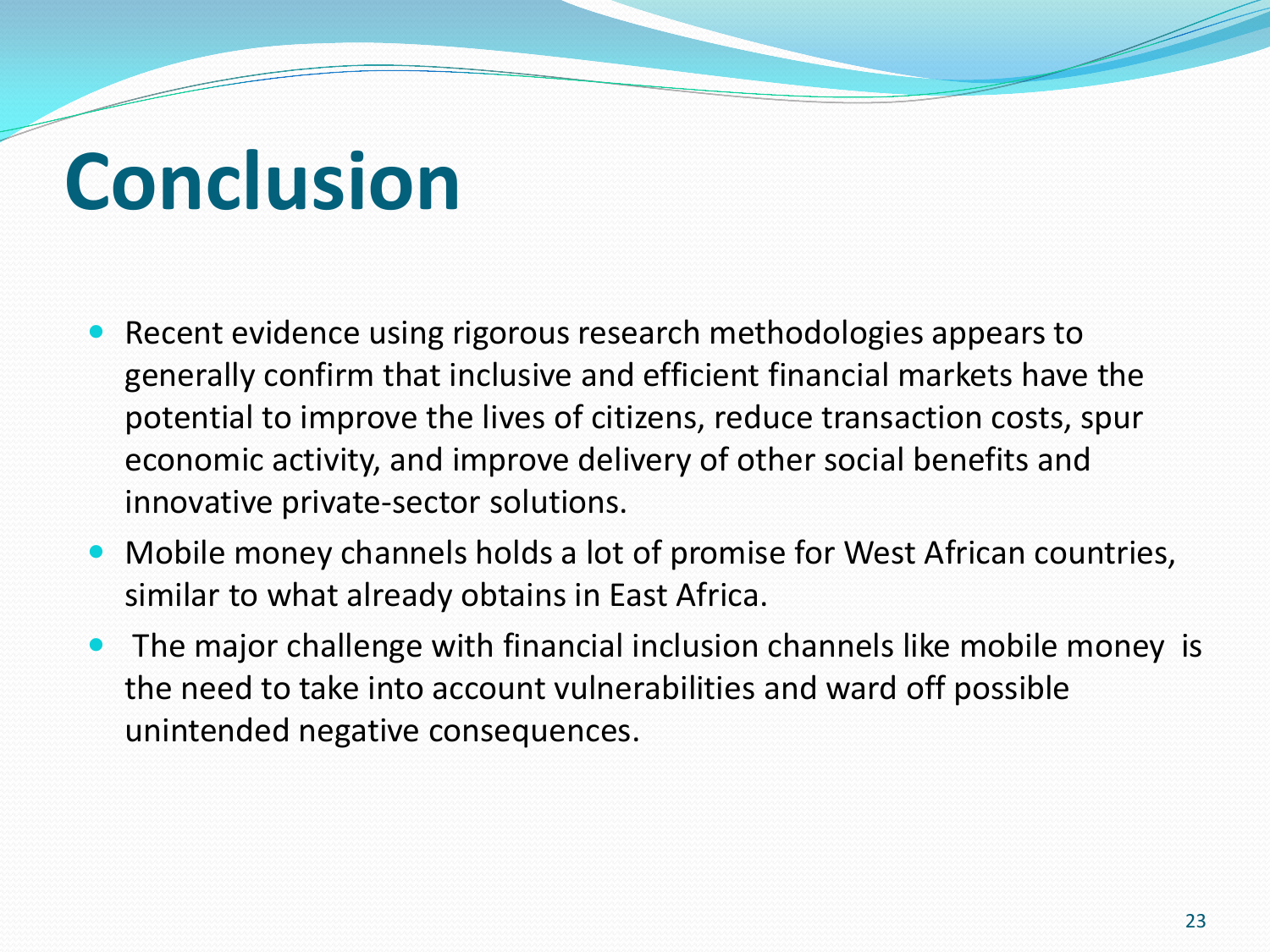## **Conclusion**

- Recent evidence using rigorous research methodologies appears to generally confirm that inclusive and efficient financial markets have the potential to improve the lives of citizens, reduce transaction costs, spur economic activity, and improve delivery of other social benefits and innovative private-sector solutions.
- Mobile money channels holds a lot of promise for West African countries, similar to what already obtains in East Africa.
- The major challenge with financial inclusion channels like mobile money is the need to take into account vulnerabilities and ward off possible unintended negative consequences.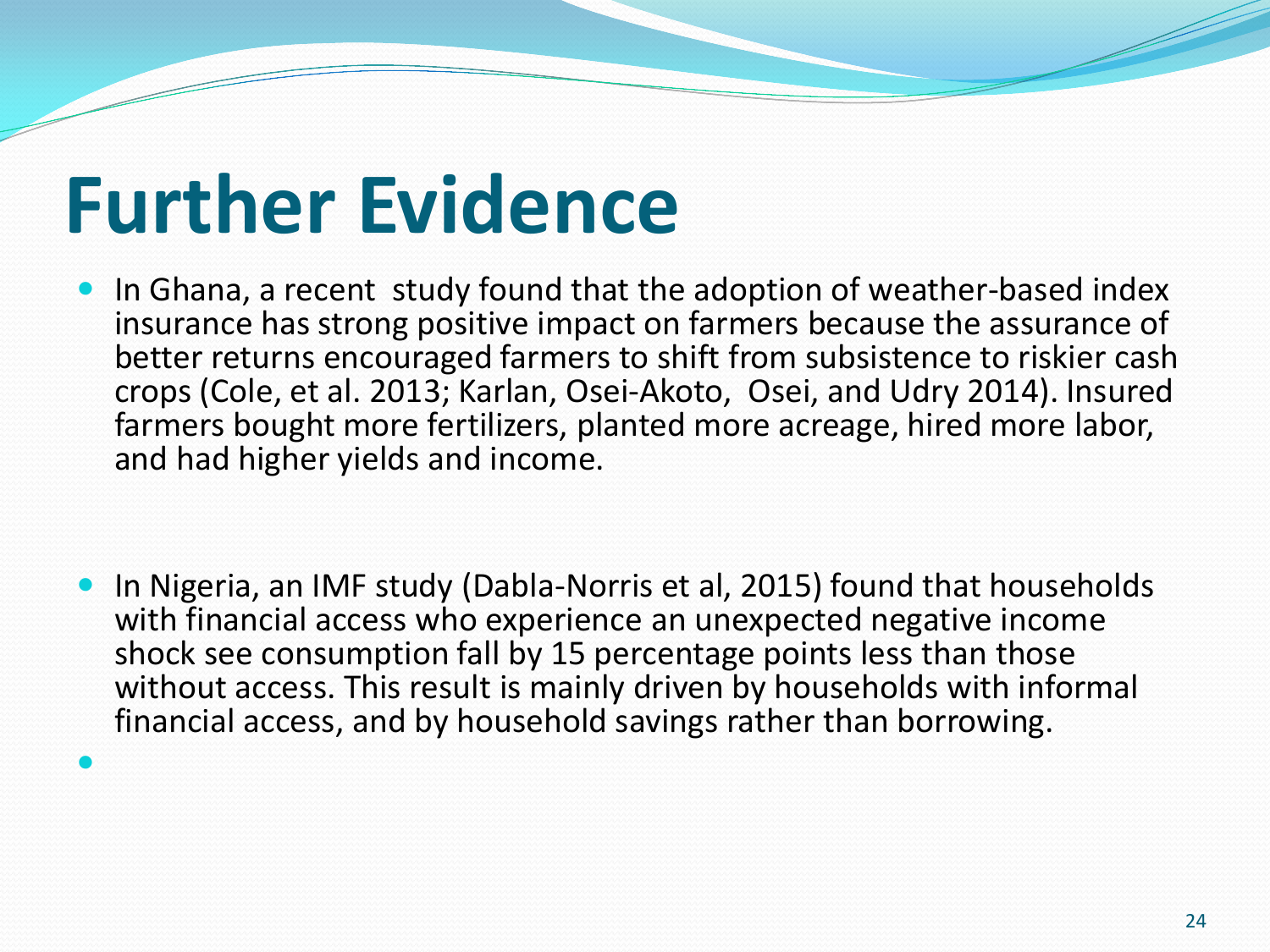### **Further Evidence**

 $\bullet$ 

- In Ghana, a recent study found that the adoption of weather-based index insurance has strong positive impact on farmers because the assurance of better returns encouraged farmers to shift from subsistence to riskier cash crops (Cole, et al. 2013; Karlan, Osei-Akoto, Osei, and Udry 2014). Insured farmers bought more fertilizers, planted more acreage, hired more labor, and had higher yields and income.
- In Nigeria, an IMF study (Dabla-Norris et al, 2015) found that households with financial access who experience an unexpected negative income shock see consumption fall by 15 percentage points less than those without access. This result is mainly driven by households with informal financial access, and by household savings rather than borrowing.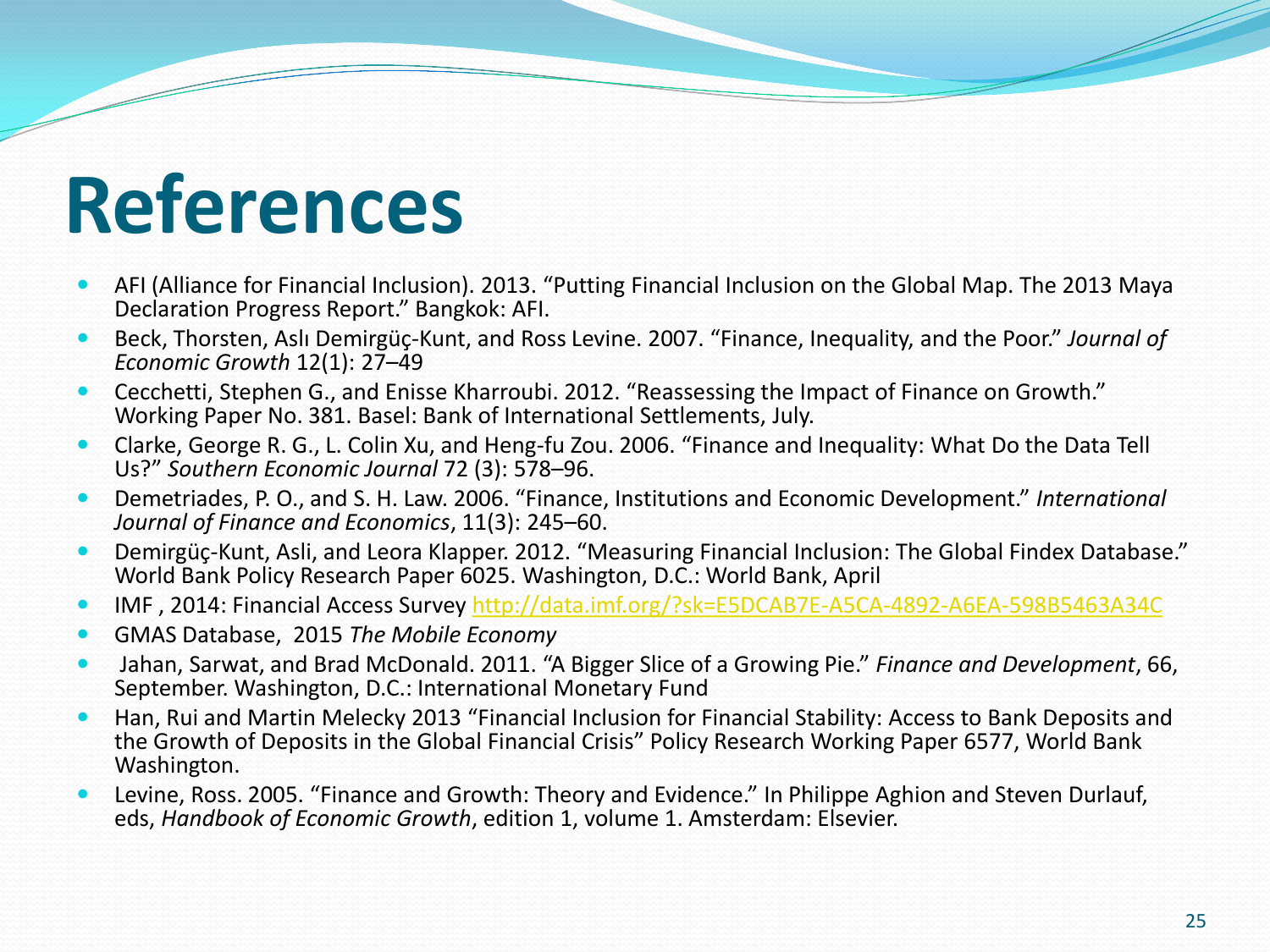### **References**

- AFI (Alliance for Financial Inclusion). 2013. "Putting Financial Inclusion on the Global Map. The 2013 Maya Declaration Progress Report." Bangkok: AFI.
- Beck, Thorsten, Aslı Demirgüç-Kunt, and Ross Levine. 2007. "Finance, Inequality, and the Poor." *Journal of Economic Growth* 12(1): 27–49
- Cecchetti, Stephen G., and Enisse Kharroubi. 2012. "Reassessing the Impact of Finance on Growth." Working Paper No. 381. Basel: Bank of International Settlements, July.
- Clarke, George R. G., L. Colin Xu, and Heng-fu Zou. 2006. "Finance and Inequality: What Do the Data Tell Us?" *Southern Economic Journal* 72 (3): 578–96.
- Demetriades, P. O., and S. H. Law. 2006. "Finance, Institutions and Economic Development." *International Journal of Finance and Economics*, 11(3): 245–60.
- Demirgüç-Kunt, Asli, and Leora Klapper. 2012. "Measuring Financial Inclusion: The Global Findex Database." World Bank Policy Research Paper 6025. Washington, D.C.: World Bank, April
- IMF , 2014: Financial Access Survey <http://data.imf.org/?sk=E5DCAB7E-A5CA-4892-A6EA-598B5463A34C>
- GMAS Database, 2015 *The Mobile Economy*
- Jahan, Sarwat, and Brad McDonald. 2011. "A Bigger Slice of a Growing Pie." *Finance and Development*, 66, September. Washington, D.C.: International Monetary Fund
- Han, Rui and Martin Melecky 2013 "Financial Inclusion for Financial Stability: Access to Bank Deposits and the Growth of Deposits in the Global Financial Crisis" Policy Research Working Paper 6577, World Bank Washington.
- Levine, Ross. 2005. "Finance and Growth: Theory and Evidence." In Philippe Aghion and Steven Durlauf, eds, *Handbook of Economic Growth*, edition 1, volume 1. Amsterdam: Elsevier.